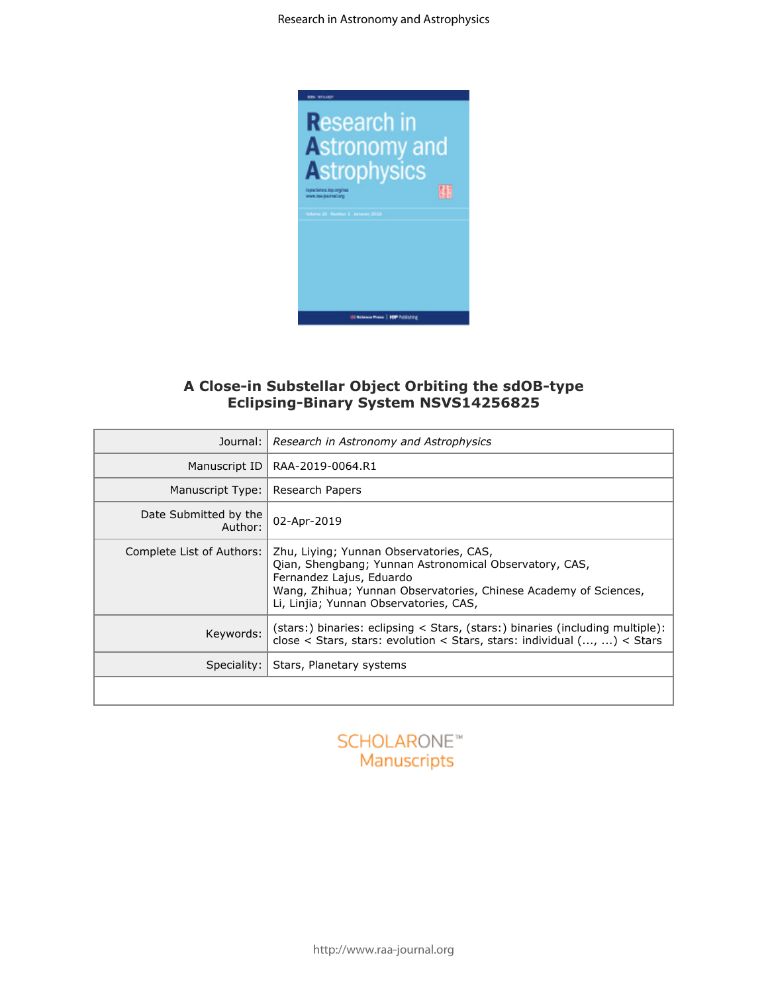

## **A Close-in Substellar Object Orbiting the sdOB-type Eclipsing-Binary System NSVS14256825**

| all processes access 1 MML LOVINGS<br>A Close-in Substellar Object Orbiting the sdOB-type<br><b>Eclipsing-Binary System NSVS14256825</b> |                                                                                                                                                                                                                                             |  |  |  |  |  |  |
|------------------------------------------------------------------------------------------------------------------------------------------|---------------------------------------------------------------------------------------------------------------------------------------------------------------------------------------------------------------------------------------------|--|--|--|--|--|--|
| Journal:                                                                                                                                 | Research in Astronomy and Astrophysics                                                                                                                                                                                                      |  |  |  |  |  |  |
| Manuscript ID                                                                                                                            | RAA-2019-0064.R1                                                                                                                                                                                                                            |  |  |  |  |  |  |
| Manuscript Type:                                                                                                                         | Research Papers                                                                                                                                                                                                                             |  |  |  |  |  |  |
| Date Submitted by the<br>Author:                                                                                                         | 02-Apr-2019                                                                                                                                                                                                                                 |  |  |  |  |  |  |
| Complete List of Authors:                                                                                                                | Zhu, Liying; Yunnan Observatories, CAS,<br>Qian, Shengbang; Yunnan Astronomical Observatory, CAS,<br>Fernandez Lajus, Eduardo<br>Wang, Zhihua; Yunnan Observatories, Chinese Academy of Sciences,<br>Li, Linjia; Yunnan Observatories, CAS, |  |  |  |  |  |  |
| Keywords:                                                                                                                                | (stars:) binaries: eclipsing < Stars, (stars:) binaries (including multiple):<br>close < Stars, stars: evolution < Stars, stars: individual $(,)$ < Stars                                                                                   |  |  |  |  |  |  |
| Speciality:                                                                                                                              | Stars, Planetary systems                                                                                                                                                                                                                    |  |  |  |  |  |  |
|                                                                                                                                          |                                                                                                                                                                                                                                             |  |  |  |  |  |  |

## **SCHOLARONE™** Manuscripts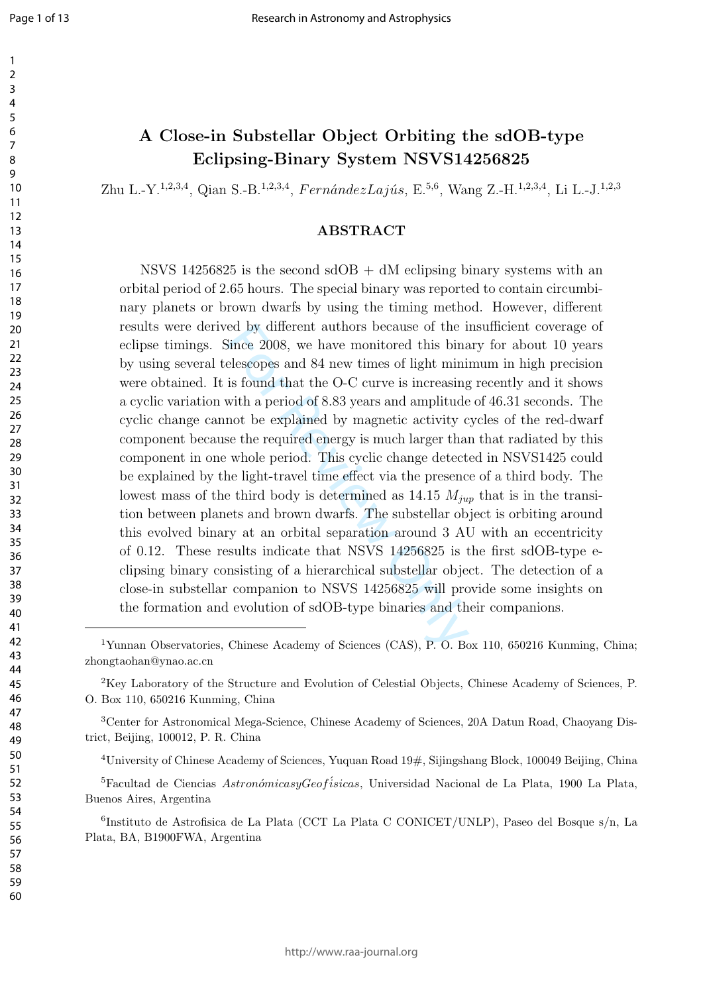$\mathbf{1}$  $\overline{2}$ 

### $\overline{3}$  $\overline{4}$  $\overline{7}$

# **A Close-in Substellar Object Orbiting the sdOB-type Eclipsing-Binary System NSVS14256825**

Zhu L.-Y.<sup>1,2,3,4</sup>, Qian S.-B.<sup>1,2,3,4</sup>, *FernándezLajús*, E.<sup>5,6</sup>, Wang Z.-H.<sup>1,2,3,4</sup>, Li L.-J.<sup>1,2,3</sup>

### **ABSTRACT**

ed by different authors because of the 1<br>Since 2008, we have monitored this bina<br>elescopes and 84 new times of light mini<br>is found that the O-C curve is increasing<br>with a period of 8.83 years and amplitude<br>not be explaine NSVS 14256825 is the second  $sdOB + dM$  eclipsing binary systems with an orbital period of 2.65 hours. The special binary was reported to contain circumbinary planets or brown dwarfs by using the timing method. However, different results were derived by different authors because of the insufficient coverage of eclipse timings. Since 2008, we have monitored this binary for about 10 years by using several telescopes and 84 new times of light minimum in high precision were obtained. It is found that the O-C curve is increasing recently and it shows a cyclic variation with a period of 8.83 years and amplitude of 46.31 seconds. The cyclic change cannot be explained by magnetic activity cycles of the red-dwarf component because the required energy is much larger than that radiated by this component in one whole period. This cyclic change detected in NSVS1425 could be explained by the light-travel time effect via the presence of a third body. The lowest mass of the third body is determined as 14.15 *Mjup* that is in the transition between planets and brown dwarfs. The substellar object is orbiting around this evolved binary at an orbital separation around 3 AU with an eccentricity of 0.12. These results indicate that NSVS 14256825 is the first sdOB-type eclipsing binary consisting of a hierarchical substellar object. The detection of a close-in substellar companion to NSVS 14256825 will provide some insights on the formation and evolution of sdOB-type binaries and their companions.

<sup>&</sup>lt;sup>1</sup>Yunnan Observatories, Chinese Academy of Sciences (CAS), P. O. Box 110, 650216 Kunming, China; zhongtaohan@ynao.ac.cn

Key Laboratory of the Structure and Evolution of Celestial Objects, Chinese Academy of Sciences, P. O. Box 110, 650216 Kunming, China

Center for Astronomical Mega-Science, Chinese Academy of Sciences, 20A Datun Road, Chaoyang District, Beijing, 100012, P. R. China

University of Chinese Academy of Sciences, Yuquan Road 19#, Sijingshang Block, 100049 Beijing, China

<sup>&</sup>lt;sup>5</sup>Facultad de Ciencias *AstronómicasyGeofísicas*, Universidad Nacional de La Plata, 1900 La Plata, Buenos Aires, Argentina

 Instituto de Astrofisica de La Plata (CCT La Plata C CONICET/UNLP), Paseo del Bosque s/n, La Plata, BA, B1900FWA, Argentina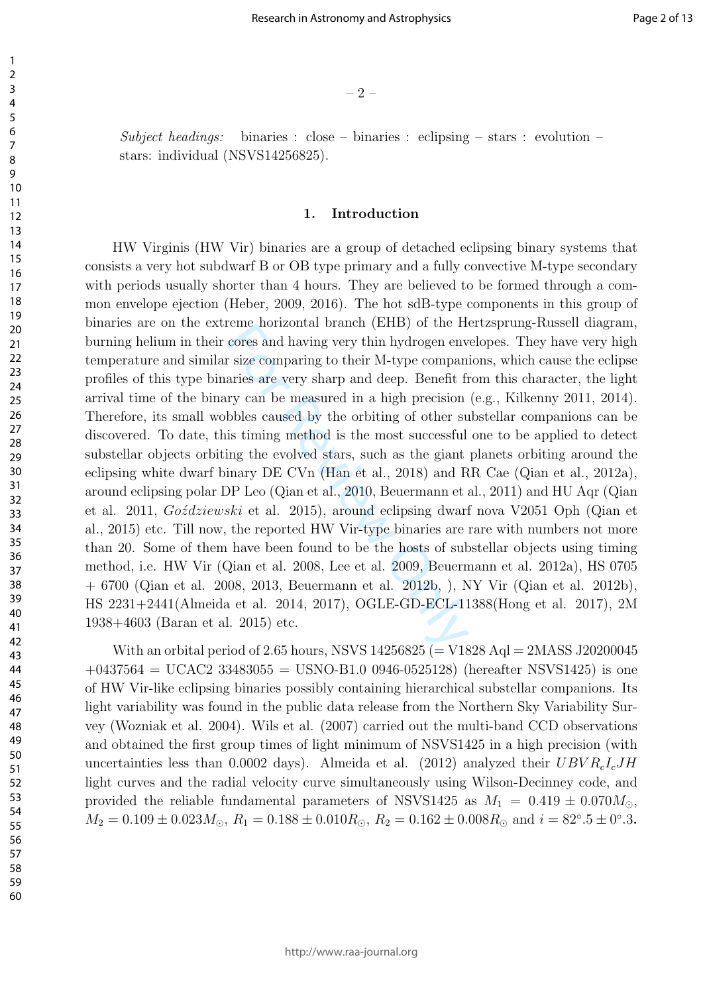– 2 –

*Subject headings:* binaries : close – binaries : eclipsing – stars : evolution – stars: individual (NSVS14256825).

### **1. Introduction**

For all the morizontal branch (ETD) of the Tre<br>cores and having very thin hydrogen env<br>r size comparing to their M-type compan<br>aries are very sharp and deep. Benefit fi<br>ry can be measured in a high precision<br>bbles caused HW Virginis (HW Vir) binaries are a group of detached eclipsing binary systems that consists a very hot subdwarf B or OB type primary and a fully convective M-type secondary with periods usually shorter than 4 hours. They are believed to be formed through a common envelope ejection (Heber, 2009, 2016). The hot sdB-type components in this group of binaries are on the extreme horizontal branch (EHB) of the Hertzsprung-Russell diagram, burning helium in their cores and having very thin hydrogen envelopes. They have very high temperature and similar size comparing to their M-type companions, which cause the eclipse profiles of this type binaries are very sharp and deep. Benefit from this character, the light arrival time of the binary can be measured in a high precision (e.g., Kilkenny 2011, 2014). Therefore, its small wobbles caused by the orbiting of other substellar companions can be discovered. To date, this timing method is the most successful one to be applied to detect substellar objects orbiting the evolved stars, such as the giant planets orbiting around the eclipsing white dwarf binary DE CVn (Han et al., 2018) and RR Cae (Qian et al., 2012a), around eclipsing polar DP Leo (Qian et al., 2010, Beuermann et al., 2011) and HU Aqr (Qian et al. 2011, *Goździewski* et al. 2015), around eclipsing dwarf nova V2051 Oph (Qian et al., 2015) etc. Till now, the reported HW Vir-type binaries are rare with numbers not more than 20. Some of them have been found to be the hosts of substellar objects using timing method, i.e. HW Vir (Qian et al. 2008, Lee et al. 2009, Beuermann et al. 2012a), HS 0705 + 6700 (Qian et al. 2008, 2013, Beuermann et al. 2012b, ), NY Vir (Qian et al. 2012b), HS 2231+2441(Almeida et al. 2014, 2017), OGLE-GD-ECL-11388(Hong et al. 2017), 2M 1938+4603 (Baran et al. 2015) etc.

With an orbital period of 2.65 hours, NSVS (= V1828 Aql = 2MASS J20200045  $+0437564 = UCAC2 33483055 = USNO-B1.0 0946-0525128$  (hereafter NSVS1425) is one of HW Vir-like eclipsing binaries possibly containing hierarchical substellar companions. Its light variability was found in the public data release from the Northern Sky Variability Survey (Wozniak et al. 2004). Wils et al. (2007) carried out the multi-band CCD observations and obtained the first group times of light minimum of NSVS1425 in a high precision (with uncertainties less than 0.0002 days). Almeida et al. (2012) analyzed their *UBV RcIcJH* light curves and the radial velocity curve simultaneously using Wilson-Decinney code, and provided the reliable fundamental parameters of NSVS1425 as  $M_1 = 0.419 \pm 0.070 M_{\odot}$ ,  $M_2 = 0.109 \pm 0.023 M_{\odot}$ ,  $R_1 = 0.188 \pm 0.010 R_{\odot}$ ,  $R_2 = 0.162 \pm 0.008 R_{\odot}$  and  $i = 82^{\circ}.5 \pm 0^{\circ}.3$ .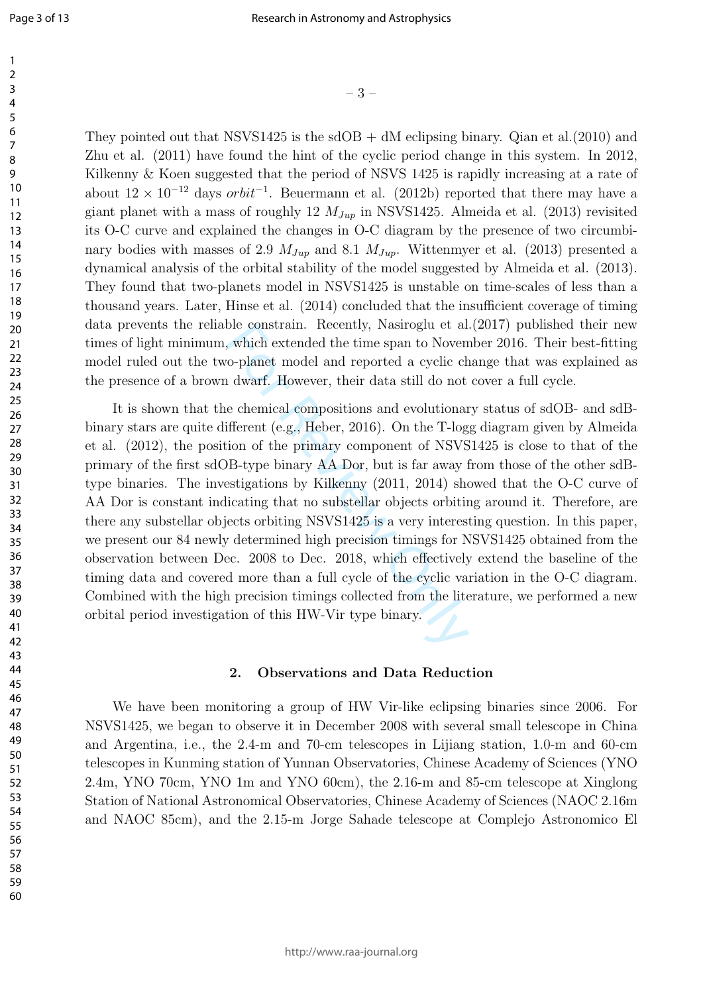$-3$  –  $-3$  –  $-3$  –  $-3$  –  $-3$  –  $-3$  –  $-3$  –  $-3$  –  $-3$  –  $-3$  –  $-3$  –  $-3$  –  $-3$  –  $-3$  –  $-3$  –  $-3$  –  $-3$  –  $-3$  –  $-3$  –  $-3$  –  $-3$  –  $-3$  –  $-3$  –  $-3$  –  $-3$  –  $-3$  –  $-3$  –  $-3$  –  $-3$  –  $-3$  –  $-3$  –  $-3$ They pointed out that NSVS1425 is the sdOB  $+$  dM eclipsing binary. Qian et al. (2010) and Zhu et al. (2011) have found the hint of the cyclic period change in this system. In 2012, Kilkenny & Koen suggested that the period of NSVS 1425 is rapidly increasing at a rate of about  $12 \times 10^{-12}$  days *orbit*<sup>-1</sup>. Beuermann et al. (2012b) reported that there may have a giant planet with a mass of roughly 12 *MJup* in NSVS1425. Almeida et al. (2013) revisited its O-C curve and explained the changes in O-C diagram by the presence of two circumbinary bodies with masses of 2.9  $M_{Jup}$  and 8.1  $M_{Jup}$ . Wittenmyer et al. (2013) presented a dynamical analysis of the orbital stability of the model suggested by Almeida et al. (2013). They found that two-planets model in NSVS1425 is unstable on time-scales of less than a thousand years. Later, Hinse et al. (2014) concluded that the insufficient coverage of timing data prevents the reliable constrain. Recently, Nasiroglu et al.(2017) published their new times of light minimum, which extended the time span to November 2016. Their best-fitting model ruled out the two-planet model and reported a cyclic change that was explained as the presence of a brown dwarf. However, their data still do not cover a full cycle.

It is shown that the chemical compositions and evolutionary status of sdOB- and sdBbinary stars are quite different (e.g., Heber, 2016). On the T-logg diagram given by Almeida et al. (2012), the position of the primary component of NSVS1425 is close to that of the primary of the first sdOB-type binary AA Dor, but is far away from those of the other sdBtype binaries. The investigations by Kilkenny (2011, 2014) showed that the O-C curve of AA Dor is constant indicating that no substellar objects orbiting around it. Therefore, are there any substellar objects orbiting NSVS1425 is a very interesting question. In this paper, we present our 84 newly determined high precision timings for NSVS1425 obtained from the observation between Dec. 2008 to Dec. 2018, which effectively extend the baseline of the timing data and covered more than a full cycle of the cyclic variation in the O-C diagram. Combined with the high precision timings collected from the literature, we performed a new orbital period investigation of this HW-Vir type binary.

#### **2. Observations and Data Reduction**

We have been monitoring a group of HW Vir-like eclipsing binaries since 2006. For NSVS1425, we began to observe it in December 2008 with several small telescope in China and Argentina, i.e., the 2.4-m and 70-cm telescopes in Lijiang station, 1.0-m and 60-cm telescopes in Kunming station of Yunnan Observatories, Chinese Academy of Sciences (YNO 2.4m, YNO 70cm, YNO 1m and YNO 60cm), the 2.16-m and 85-cm telescope at Xinglong Station of National Astronomical Observatories, Chinese Academy of Sciences (NAOC 2.16m and NAOC 85cm), and the 2.15-m Jorge Sahade telescope at Complejo Astronomico El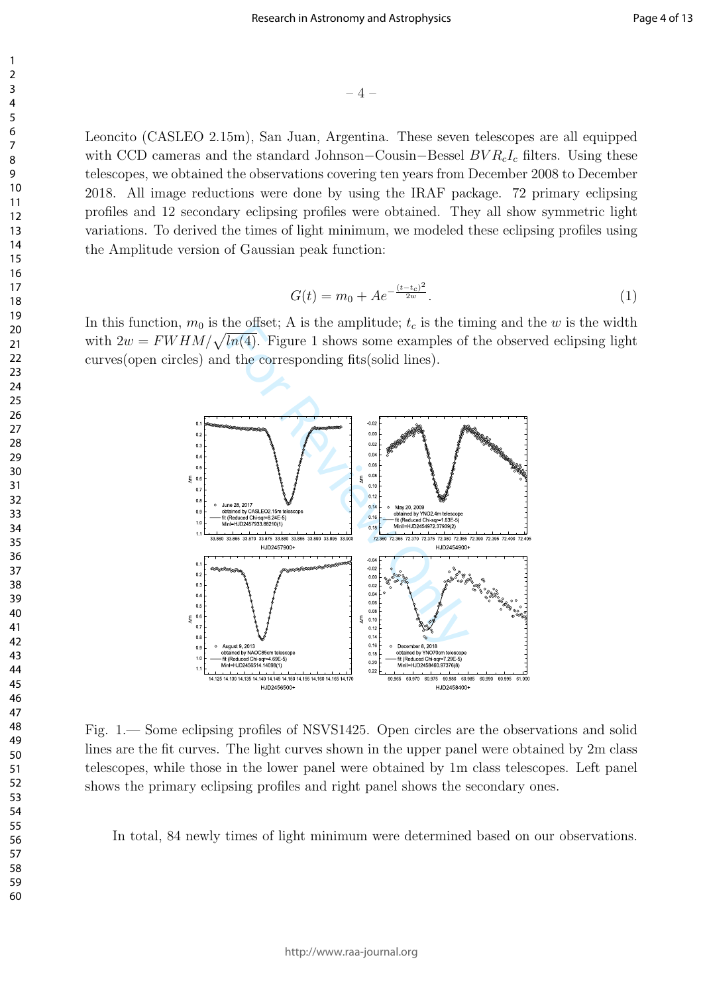$-4-$ 

Leoncito (CASLEO 2.15m), San Juan, Argentina. These seven telescopes are all equipped with CCD cameras and the standard Johnson*−*Cousin*−*Bessel *BV RcI<sup>c</sup>* filters. Using these telescopes, we obtained the observations covering ten years from December 2008 to December 2018. All image reductions were done by using the IRAF package. 72 primary eclipsing profiles and 12 secondary eclipsing profiles were obtained. They all show symmetric light variations. To derived the times of light minimum, we modeled these eclipsing profiles using the Amplitude version of Gaussian peak function:

$$
G(t) = m_0 + Ae^{-\frac{(t - t_c)^2}{2w}}.
$$
\n(1)

In this function,  $m_0$  is the offset; A is the amplitude;  $t_c$  is the timing and the *w* is the width with  $2w = FWHM/\sqrt{ln(4)}$ . Figure 1 shows some examples of the observed eclipsing light curves(open circles) and the corresponding fits(solid lines).



Fig. 1.— Some eclipsing profiles of NSVS1425. Open circles are the observations and solid lines are the fit curves. The light curves shown in the upper panel were obtained by 2m class telescopes, while those in the lower panel were obtained by 1m class telescopes. Left panel shows the primary eclipsing profiles and right panel shows the secondary ones.

In total, 84 newly times of light minimum were determined based on our observations.

1 2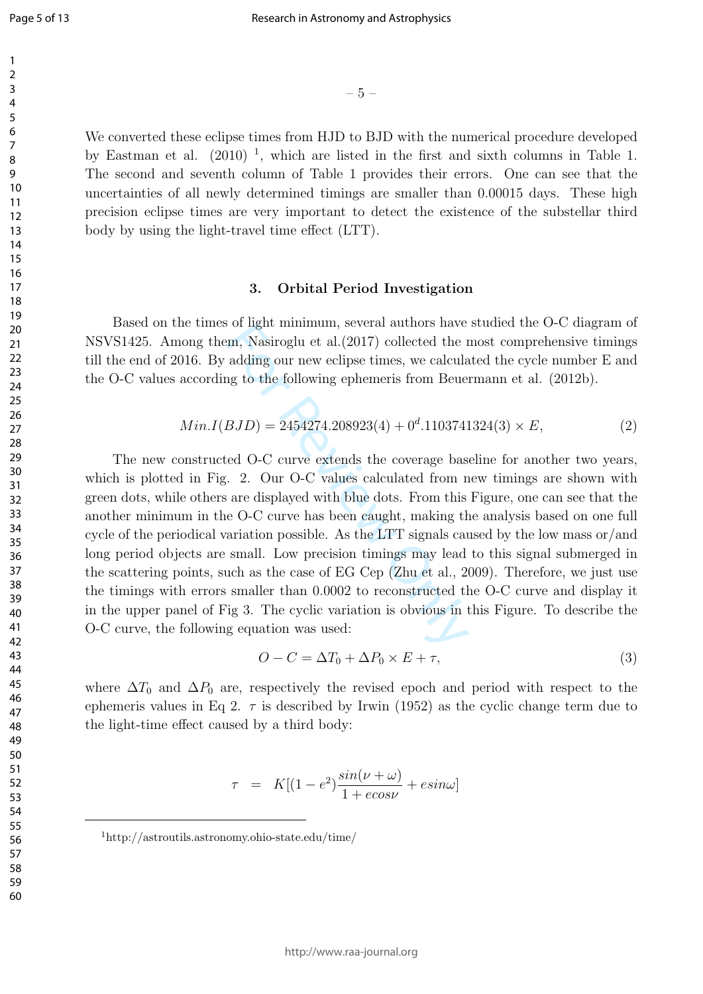$\mathbf{1}$  $\overline{2}$ 

We converted these eclipse times from HJD to BJD with the numerical procedure developed by Eastman et al.  $(2010)^{-1}$ , which are listed in the first and sixth columns in Table 1. The second and seventh column of Table 1 provides their errors. One can see that the uncertainties of all newly determined timings are smaller than 0.00015 days. These high precision eclipse times are very important to detect the existence of the substellar third body by using the light-travel time effect (LTT).

#### **3. Orbital Period Investigation**

Based on the times of light minimum, several authors have studied the O-C diagram of NSVS1425. Among them, Nasiroglu et al.(2017) collected the most comprehensive timings till the end of 2016. By adding our new eclipse times, we calculated the cycle number E and the O-C values according to the following ephemeris from Beuermann et al. (2012b).

$$
Min.I(BJD) = 2454274.208923(4) + 0d.1103741324(3) \times E,
$$
 (2)

 $-5$  –<br>pse times from HJD to BJD with the nu<br>110)<sup>1</sup>, which are listed in the first and<br>h column of Table 1 provides their err<br>are very important to detect the exist-<br>travel time effect (LTT).<br>**3. Orbital Period Investi** The new constructed O-C curve extends the coverage baseline for another two years, which is plotted in Fig. 2. Our O-C values calculated from new timings are shown with green dots, while others are displayed with blue dots. From this Figure, one can see that the another minimum in the O-C curve has been caught, making the analysis based on one full cycle of the periodical variation possible. As the LTT signals caused by the low mass or/and long period objects are small. Low precision timings may lead to this signal submerged in the scattering points, such as the case of EG Cep (Zhu et al., 2009). Therefore, we just use the timings with errors smaller than 0.0002 to reconstructed the O-C curve and display it in the upper panel of Fig 3. The cyclic variation is obvious in this Figure. To describe the O-C curve, the following equation was used:

$$
O - C = \Delta T_0 + \Delta P_0 \times E + \tau,
$$
\n(3)

where  $\Delta T_0$  and  $\Delta P_0$  are, respectively the revised epoch and period with respect to the ephemeris values in Eq 2.  $\tau$  is described by Irwin (1952) as the cyclic change term due to the light-time effect caused by a third body:

> $\tau = K[(1-e^2)\frac{\sin(\nu+\omega)}{1+ecos\omega}]$ 1 + *ecosν*  $+ e sin \omega$ ]

<sup>1</sup> http://astroutils.astronomy.ohio-state.edu/time/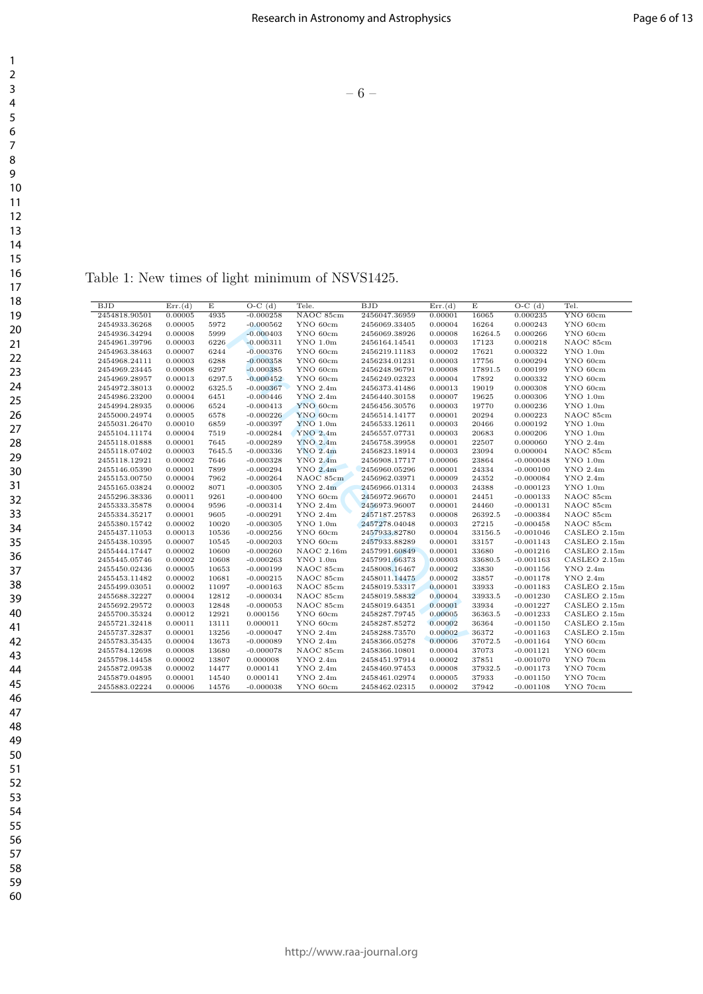– 6 –

Table 1: New times of light minimum of NSVS1425.

| BJD           | Err.(d) | E      | $\overline{O}$ -C $(d)$ | Tele.               | <b>BJD</b>    | Err.(d) | E       | $O-C(d)$    | Tel.          |
|---------------|---------|--------|-------------------------|---------------------|---------------|---------|---------|-------------|---------------|
| 2454818.90501 | 0.00005 | 4935   | $-0.000258$             | NAOC 85cm           | 2456047.36959 | 0.00001 | 16065   | 0.000235    | YNO 60cm      |
| 2454933.36268 | 0.00005 | 5972   | $-0.000562$             | YNO 60cm            | 2456069.33405 | 0.00004 | 16264   | 0.000243    | YNO 60cm      |
| 2454936.34294 | 0.00008 | 5999   | $-0.000403$             | YNO 60cm            | 2456069.38926 | 0.00008 | 16264.5 | 0.000266    | YNO 60cm      |
| 2454961.39796 | 0.00003 | 6226   | $-0.000311$             | $YNO$ 1.0 $m$       | 2456164.14541 | 0.00003 | 17123   | 0.000218    | NAOC 85cm     |
| 2454963.38463 | 0.00007 | 6244   | $-0.000376$             | YNO 60cm            | 2456219.11183 | 0.00002 | 17621   | 0.000322    | $YNO$ 1.0 $m$ |
| 2454968.24111 | 0.00003 | 6288   | $-0.000358$             | YNO 60cm            | 2456234.01231 | 0.00003 | 17756   | 0.000294    | YNO 60cm      |
| 2454969.23445 | 0.00008 | 6297   | $-0.000385$             | YNO 60cm            | 2456248.96791 | 0.00008 | 17891.5 | 0.000199    | YNO 60cm      |
| 2454969.28957 | 0.00013 | 6297.5 | $-0.000452$             | YNO 60cm            | 2456249.02323 | 0.00004 | 17892   | 0.000332    | YNO 60cm      |
| 2454972.38013 | 0.00002 | 6325.5 | $-0.000367$             | $YNO$ 2.4m          | 2456373.41486 | 0.00013 | 19019   | 0.000308    | YNO 60cm      |
| 2454986.23200 | 0.00004 | 6451   | $-0.000446$             | $YNO$ 2.4m          | 2456440.30158 | 0.00007 | 19625   | 0.000306    | $YNO$ 1.0 $m$ |
| 2454994.28935 | 0.00006 | 6524   | $-0.000413$             | YNO 60cm            | 2456456.30576 | 0.00003 | 19770   | 0.000236    | $YNO$ 1.0 $m$ |
| 2455000.24974 | 0.00005 | 6578   | $-0.000226$             | YNO 60cm            | 2456514.14177 | 0.00001 | 20294   | 0.000223    | NAOC 85cm     |
| 2455031.26470 | 0.00010 | 6859   | $-0.000397$             | $YNO$ 1.0 $m$       | 2456533.12611 | 0.00003 | 20466   | 0.000192    | $YNO$ 1.0 $m$ |
| 2455104.11174 | 0.00004 | 7519   | $-0.000284$             | <b>YNO 2.4m</b>     | 2456557.07731 | 0.00003 | 20683   | 0.000206    | $YNO$ 1.0m    |
| 2455118.01888 | 0.00001 | 7645   | $-0.000289$             | $YNO$ 2.4m          | 2456758.39958 | 0.00001 | 22507   | 0.000060    | $YNO$ 2.4m    |
| 2455118.07402 | 0.00003 | 7645.5 | $-0.000336$             | $YNO$ 2.4m          | 2456823.18914 | 0.00003 | 23094   | 0.000004    | NAOC 85cm     |
| 2455118.12921 | 0.00002 | 7646   | $-0.000328$             | $YNO$ 2.4m          | 2456908.17717 | 0.00006 | 23864   | $-0.000048$ | $YNO$ 1.0 $m$ |
| 2455146.05390 | 0.00001 | 7899   | $-0.000294$             | YNO <sub>2.4m</sub> | 2456960.05296 | 0.00001 | 24334   | $-0.000100$ | $YNO$ 2.4m    |
| 2455153.00750 | 0.00004 | 7962   | $-0.000264$             | NAOC 85cm           | 2456962.03971 | 0.00009 | 24352   | $-0.000084$ | $YNO$ 2.4m    |
| 2455165.03824 | 0.00002 | 8071   | $-0.000305$             | $YNO$ 2.4 $m$       | 2456966.01314 | 0.00003 | 24388   | $-0.000123$ | $YNO$ 1.0 $m$ |
| 2455296.38336 | 0.00011 | 9261   | $-0.000400$             | YNO 60cm            | 2456972.96670 | 0.00001 | 24451   | $-0.000133$ | NAOC 85cm     |
| 2455333.35878 | 0.00004 | 9596   | $-0.000314$             | $YNO$ 2.4m          | 2456973.96007 | 0.00001 | 24460   | $-0.000131$ | NAOC 85cm     |
| 2455334.35217 | 0.00001 | 9605   | $-0.000291$             | YNO 2.4m            | 2457187.25783 | 0.00008 | 26392.5 | $-0.000384$ | NAOC 85cm     |
| 2455380.15742 | 0.00002 | 10020  | $-0.000305$             | $YNO$ 1.0 $m$       | 2457278.04048 | 0.00003 | 27215   | $-0.000458$ | NAOC 85cm     |
| 2455437.11053 | 0.00013 | 10536  | $-0.000256$             | YNO 60cm            | 2457933.82780 | 0.00004 | 33156.5 | $-0.001046$ | CASLEO 2.15m  |
| 2455438.10395 | 0.00007 | 10545  | $-0.000203$             | YNO 60cm            | 2457933.88289 | 0.00001 | 33157   | $-0.001143$ | CASLEO 2.15m  |
| 2455444.17447 | 0.00002 | 10600  | $-0.000260$             | $NAOC$ 2.16m        | 2457991.60849 | 0.00001 | 33680   | $-0.001216$ | CASLEO 2.15m  |
| 2455445.05746 | 0.00002 | 10608  | $-0.000263$             | $YNO$ 1.0 $m$       | 2457991.66373 | 0.00003 | 33680.5 | $-0.001163$ | CASLEO 2.15m  |
| 2455450.02436 | 0.00005 | 10653  | $-0.000199$             | NAOC 85cm           | 2458008.16467 | 0.00002 | 33830   | $-0.001156$ | $YNO$ 2.4m    |
| 2455453.11482 | 0.00002 | 10681  | $-0.000215$             | NAOC 85cm           | 2458011.14475 | 0.00002 | 33857   | $-0.001178$ | $YNO$ 2.4m    |
| 2455499.03051 | 0.00002 | 11097  | $-0.000163$             | NAOC 85cm           | 2458019.53317 | 0.00001 | 33933   | $-0.001183$ | CASLEO 2.15m  |
| 2455688.32227 | 0.00004 | 12812  | $-0.000034$             | NAOC 85cm           | 2458019.58832 | 0.00004 | 33933.5 | $-0.001230$ | CASLEO 2.15m  |
| 2455692.29572 | 0.00003 | 12848  | $-0.000053$             | NAOC 85cm           | 2458019.64351 | 0.00001 | 33934   | $-0.001227$ | CASLEO 2.15m  |
| 2455700.35324 | 0.00012 | 12921  | 0.000156                | YNO 60cm            | 2458287.79745 | 0.00005 | 36363.5 | $-0.001233$ | CASLEO 2.15m  |
| 2455721.32418 | 0.00011 | 13111  | 0.000011                | YNO 60cm            | 2458287.85272 | 0.00002 | 36364   | $-0.001150$ | CASLEO 2.15m  |
| 2455737.32837 | 0.00001 | 13256  | $-0.000047$             | YNO 2.4m            | 2458288.73570 | 0.00002 | 36372   | $-0.001163$ | CASLEO 2.15m  |
| 2455783.35435 | 0.00004 | 13673  | $-0.000089$             | $YNO$ 2.4m          | 2458366.05278 | 0.00006 | 37072.5 | $-0.001164$ | YNO 60cm      |
| 2455784.12698 | 0.00008 | 13680  | $-0.000078$             | NAOC 85cm           | 2458366.10801 | 0.00004 | 37073   | $-0.001121$ | YNO 60cm      |
| 2455798.14458 | 0.00002 | 13807  | 0.000008                | $YNO$ 2.4m          | 2458451.97914 | 0.00002 | 37851   | $-0.001070$ | YNO 70cm      |
| 2455872.09538 | 0.00002 | 14477  | 0.000141                | YNO 2.4m            | 2458460.97453 | 0.00008 | 37932.5 | $-0.001173$ | YNO 70cm      |
| 2455879.04895 | 0.00001 | 14540  | 0.000141                | $YNO$ 2.4m          | 2458461.02974 | 0.00005 | 37933   | $-0.001150$ | YNO 70cm      |
| 2455883.02224 | 0.00006 | 14576  | $-0.000038$             | YNO 60cm            | 2458462.02315 | 0.00002 | 37942   | $-0.001108$ | YNO 70cm      |

60

http://www.raa-journal.org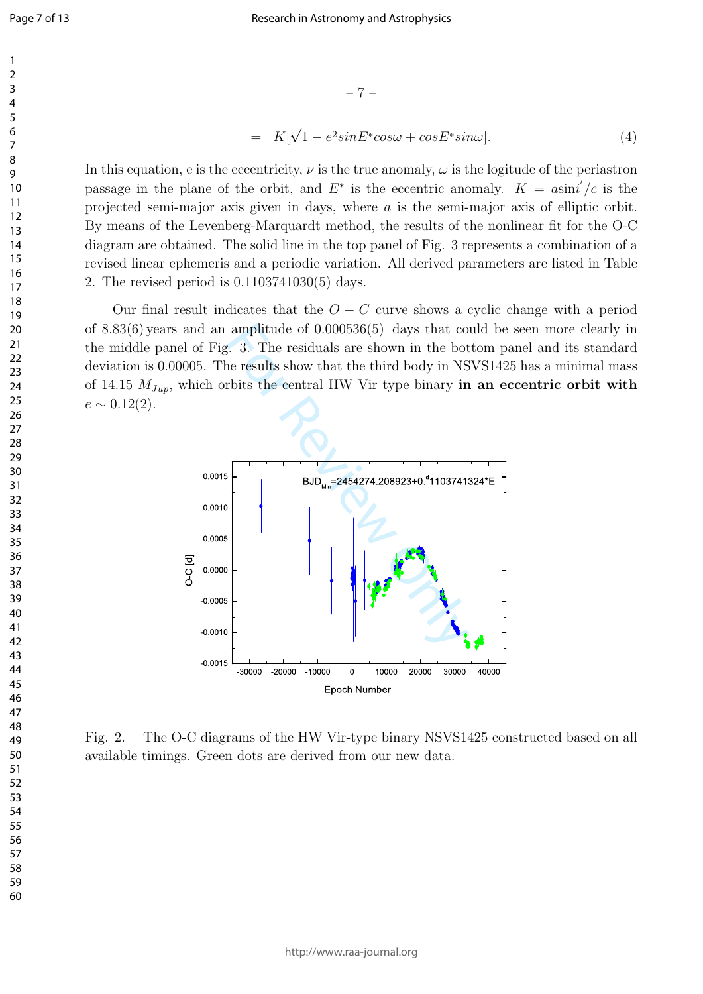In this equation, e is the eccentricity,  $\nu$  is the true anomaly,  $\omega$  is the logitude of the periastron passage in the plane of the orbit, and  $E^*$  is the eccentric anomaly.  $K = a\sin i/c$  is the projected semi-major axis given in days, where *a* is the semi-major axis of elliptic orbit. By means of the Levenberg-Marquardt method, the results of the nonlinear fit for the O-C diagram are obtained. The solid line in the top panel of Fig. 3 represents a combination of a revised linear ephemeris and a periodic variation. All derived parameters are listed in Table 2. The revised period is 0*.*1103741030(5) days.

 $= K[\sqrt{1 - e^2 sin E^* cos \omega + cos E^* sin \omega}].$  (4)

Our final result indicates that the  $O - C$  curve shows a cyclic change with a period of 8*.*83(6) years and an amplitude of 0*.*000536(5) days that could be seen more clearly in the middle panel of Fig. 3. The residuals are shown in the bottom panel and its standard deviation is 0.00005. The results show that the third body in NSVS1425 has a minimal mass of 14.15 *MJup*, which orbits the central HW Vir type binary **in an eccentric orbit with**  $e \sim 0.12(2)$ .



Fig. 2.— The O-C diagrams of the HW Vir-type binary NSVS1425 constructed based on all available timings. Green dots are derived from our new data.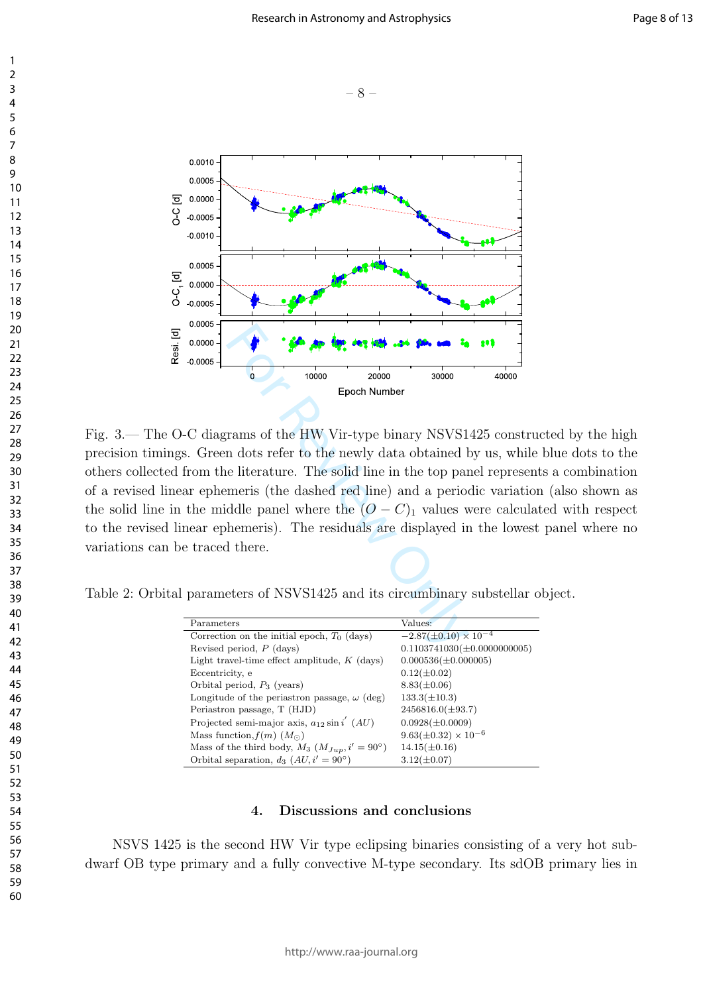





For Allies and the HW Vir-type binary NSVS1<br>m dots refer to the newly data obtained be literature. The solid line in the top parameris (the dashed red line) and a period delepanel where the  $(O - C)_1$  values v hemeris). The Fig. 3.— The O-C diagrams of the HW Vir-type binary NSVS1425 constructed by the high precision timings. Green dots refer to the newly data obtained by us, while blue dots to the others collected from the literature. The solid line in the top panel represents a combination of a revised linear ephemeris (the dashed red line) and a periodic variation (also shown as the solid line in the middle panel where the  $(O - C)_1$  values were calculated with respect to the revised linear ephemeris). The residuals are displayed in the lowest panel where no variations can be traced there.

Table 2: Orbital parameters of NSVS1425 and its circumbinary substellar object.

| Parameters                                               | Values:                          |
|----------------------------------------------------------|----------------------------------|
| Correction on the initial epoch, $T_0$ (days)            | $-2.87(\pm 0.10) \times 10^{-4}$ |
| Revised period, $P$ (days)                               | $0.1103741030(\pm 0.0000000005)$ |
| Light travel-time effect amplitude, $K$ (days)           | $0.000536(\pm 0.000005)$         |
| Eccentricity, e                                          | $0.12(\pm 0.02)$                 |
| Orbital period, $P_3$ (years)                            | $8.83(\pm 0.06)$                 |
| Longitude of the periastron passage, $\omega$ (deg)      | $133.3(\pm 10.3)$                |
| Periastron passage, T (HJD)                              | $2456816.0(\pm 93.7)$            |
| Projected semi-major axis, $a_{12}$ sin i' (AU)          | $0.0928(\pm 0.0009)$             |
| Mass function, $f(m)$ $(Mo)$                             | $9.63(\pm 0.32) \times 10^{-6}$  |
| Mass of the third body, $M_3$ $(M_{Jup}, i' = 90^\circ)$ | $14.15(\pm 0.16)$                |
| Orbital separation, $d_3$ $(AU, i' = 90^\circ)$          | $3.12(\pm 0.07)$                 |

#### **4. Discussions and conclusions**

NSVS 1425 is the second HW Vir type eclipsing binaries consisting of a very hot subdwarf OB type primary and a fully convective M-type secondary. Its sdOB primary lies in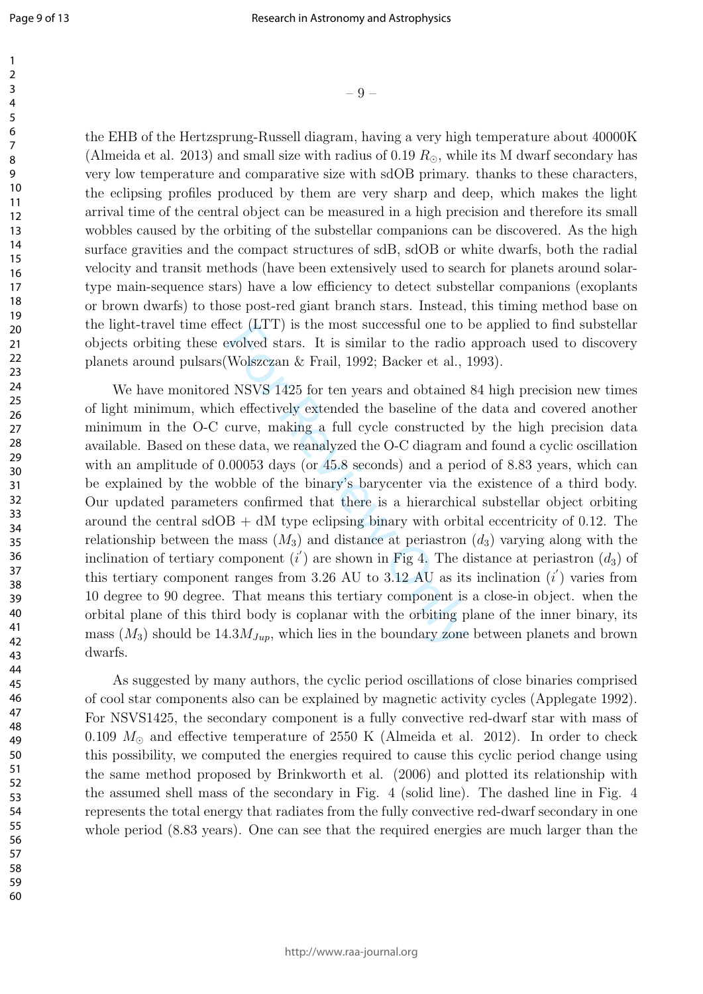$\mathbf{1}$  $\overline{2}$  $\overline{\mathbf{3}}$  $\overline{4}$ 5 6  $\overline{7}$ 8 9

the EHB of the Hertzsprung-Russell diagram, having a very high temperature about 40000K (Almeida et al. 2013) and small size with radius of 0.19  $R_{\odot}$ , while its M dwarf secondary has very low temperature and comparative size with sdOB primary. thanks to these characters, the eclipsing profiles produced by them are very sharp and deep, which makes the light arrival time of the central object can be measured in a high precision and therefore its small wobbles caused by the orbiting of the substellar companions can be discovered. As the high surface gravities and the compact structures of sdB, sdOB or white dwarfs, both the radial velocity and transit methods (have been extensively used to search for planets around solartype main-sequence stars) have a low efficiency to detect substellar companions (exoplants or brown dwarfs) to those post-red giant branch stars. Instead, this timing method base on the light-travel time effect (LTT) is the most successful one to be applied to find substellar objects orbiting these evolved stars. It is similar to the radio approach used to discovery planets around pulsars(Wolszczan & Frail, 1992; Backer et al., 1993).

 $-9$  –<br>one areas areas areas areas areas areas areas areas areas areas areas and a small size with radius of 0.19  $R_{\odot}$ , while and comparative size with sdOB primary. roduced by them are very sharp and d al object can We have monitored NSVS 1425 for ten years and obtained 84 high precision new times of light minimum, which effectively extended the baseline of the data and covered another minimum in the O-C curve, making a full cycle constructed by the high precision data available. Based on these data, we reanalyzed the O-C diagram and found a cyclic oscillation with an amplitude of 0.00053 days (or 45.8 seconds) and a period of 8.83 years, which can be explained by the wobble of the binary's barycenter via the existence of a third body. Our updated parameters confirmed that there is a hierarchical substellar object orbiting around the central  $sdOB + dM$  type eclipsing binary with orbital eccentricity of 0.12. The relationship between the mass  $(M_3)$  and distance at periastron  $(d_3)$  varying along with the inclination of tertiary component  $(i')$  are shown in Fig 4. The distance at periastron  $(d_3)$  of this tertiary component ranges from 3.26 AU to 3.12 AU as its inclination ( *i ′* ) varies from 10 degree to 90 degree. That means this tertiary component is a close-in object. when the orbital plane of this third body is coplanar with the orbiting plane of the inner binary, its mass  $(M_3)$  should be  $14.3 M_{Jup}$ , which lies in the boundary zone between planets and brown dwarfs.

As suggested by many authors, the cyclic period oscillations of close binaries comprised of cool star components also can be explained by magnetic activity cycles (Applegate 1992). For NSVS1425, the secondary component is a fully convective red-dwarf star with mass of 0.109 *M<sup>⊙</sup>* and effective temperature of 2550 K (Almeida et al. 2012). In order to check this possibility, we computed the energies required to cause this cyclic period change using the same method proposed by Brinkworth et al. (2006) and plotted its relationship with the assumed shell mass of the secondary in Fig. 4 (solid line). The dashed line in Fig. 4 represents the total energy that radiates from the fully convective red-dwarf secondary in one whole period (8.83 years). One can see that the required energies are much larger than the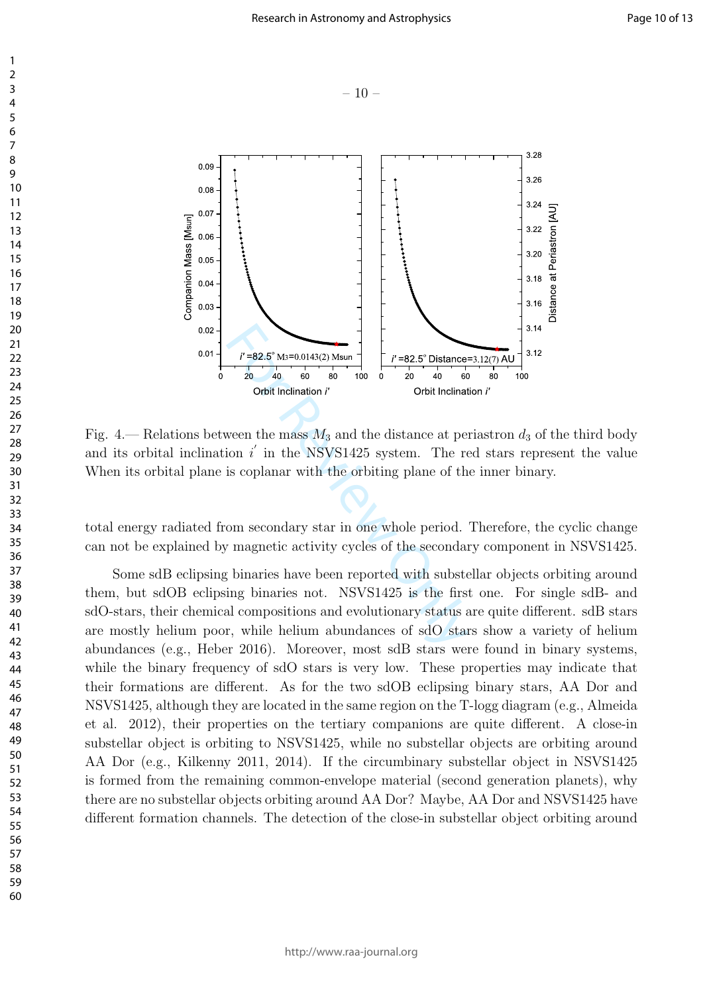$-10-$ 





Fig. 4.— Relations between the mass  $M_3$  and the distance at periastron  $d_3$  of the third body and its orbital inclination  $i'$  in the NSVS1425 system. The red stars represent the value When its orbital plane is coplanar with the orbiting plane of the inner binary.

total energy radiated from secondary star in one whole period. Therefore, the cyclic change can not be explained by magnetic activity cycles of the secondary component in NSVS1425.

Some sdB eclipsing binaries have been reported with substellar objects orbiting around them, but sdOB eclipsing binaries not. NSVS1425 is the first one. For single sdB- and sdO-stars, their chemical compositions and evolutionary status are quite different. sdB stars are mostly helium poor, while helium abundances of sdO stars show a variety of helium abundances (e.g., Heber 2016). Moreover, most sdB stars were found in binary systems, while the binary frequency of sdO stars is very low. These properties may indicate that their formations are different. As for the two sdOB eclipsing binary stars, AA Dor and NSVS1425, although they are located in the same region on the T-logg diagram (e.g., Almeida et al. 2012), their properties on the tertiary companions are quite different. A close-in substellar object is orbiting to NSVS1425, while no substellar objects are orbiting around AA Dor (e.g., Kilkenny 2011, 2014). If the circumbinary substellar object in NSVS1425 is formed from the remaining common-envelope material (second generation planets), why there are no substellar objects orbiting around AA Dor? Maybe, AA Dor and NSVS1425 have different formation channels. The detection of the close-in substellar object orbiting around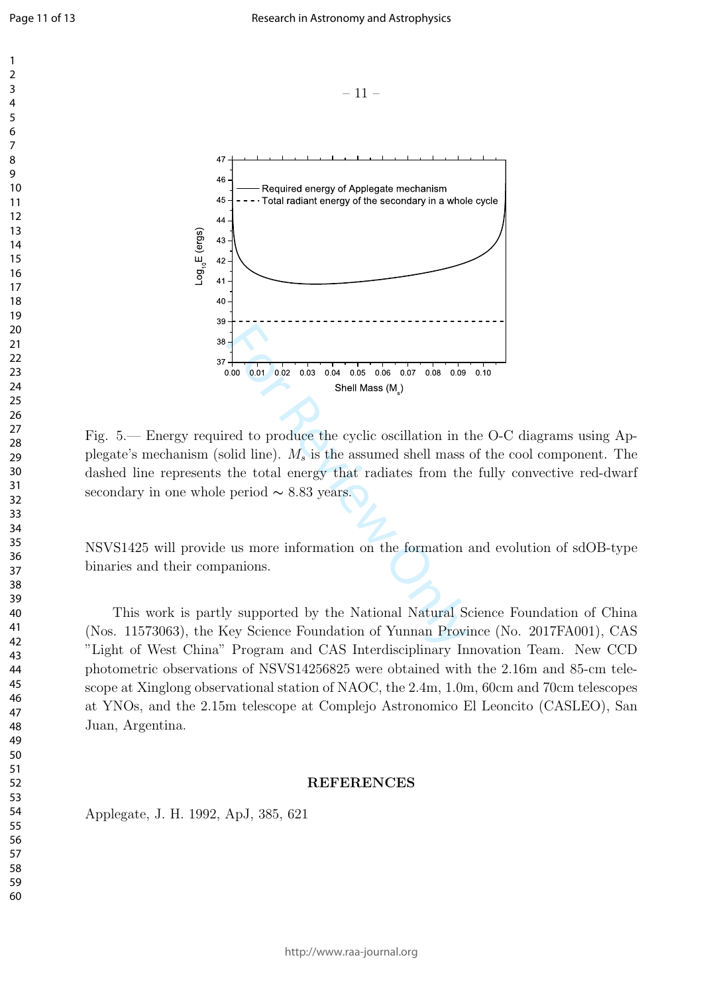

Fig. 5.— Energy required to produce the cyclic oscillation in the O-C diagrams using Applegate's mechanism (solid line). *M<sup>s</sup>* is the assumed shell mass of the cool component. The dashed line represents the total energy that radiates from the fully convective red-dwarf secondary in one whole period  $\sim 8.83$  years.

Shell Mass (M )

<sup>s</sup>

NSVS1425 will provide us more information on the formation and evolution of sdOB-type binaries and their companions.

This work is partly supported by the National Natural Science Foundation of China (Nos. 11573063), the Key Science Foundation of Yunnan Province (No. 2017FA001), CAS "Light of West China" Program and CAS Interdisciplinary Innovation Team. New CCD photometric observations of NSVS14256825 were obtained with the 2.16m and 85-cm telescope at Xinglong observational station of NAOC, the 2.4m, 1.0m, 60cm and 70cm telescopes at YNOs, and the 2.15m telescope at Complejo Astronomico El Leoncito (CASLEO), San Juan, Argentina.

### **REFERENCES**

Applegate, J. H. 1992, ApJ, 385, 621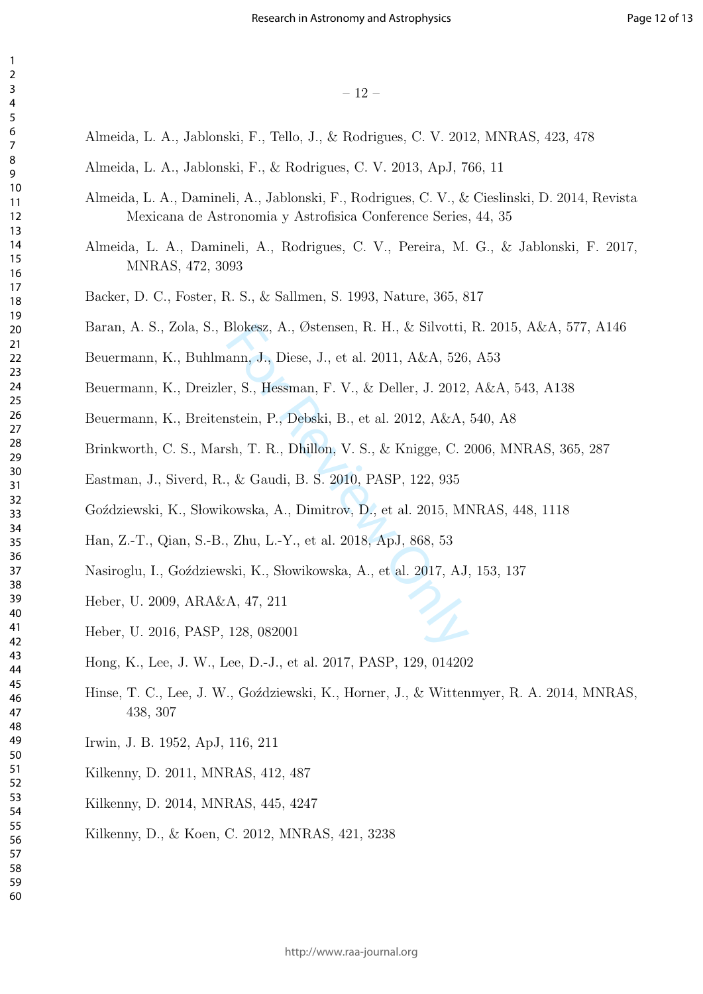- Almeida, L. A., Jablonski, F., Tello, J., & Rodrigues, C. V. 2012, MNRAS, 423, 478
- Almeida, L. A., Jablonski, F., & Rodrigues, C. V. 2013, ApJ, 766, 11
- Almeida, L. A., Damineli, A., Jablonski, F., Rodrigues, C. V., & Cieslinski, D. 2014, Revista Mexicana de Astronomia y Astrofisica Conference Series, 44, 35
- Almeida, L. A., Damineli, A., Rodrigues, C. V., Pereira, M. G., & Jablonski, F. 2017, MNRAS, 472, 3093
- Backer, D. C., Foster, R. S., & Sallmen, S. 1993, Nature, 365, 817
- Baran, A. S., Zola, S., Blokesz, A., Østensen, R. H., & Silvotti, R. 2015, A&A, 577, A146
- Blokesz, A., Østensen, R. H., & Silvotti,<br>ann, J., Diese, J., et al. 2011, A&A, 526<br>rr, S., Hessman, F. V., & Deller, J. 2012,<br>astein, P., Debski, B., et al. 2012, A&A,<br>sh, T. R., Dhillon, V. S., & Knigge, C. 2<br>, & Gaudi, Beuermann, K., Buhlmann, J., Diese, J., et al. 2011, A&A, 526, A53
- Beuermann, K., Dreizler, S., Hessman, F. V., & Deller, J. 2012, A&A, 543, A138
- Beuermann, K., Breitenstein, P., Debski, B., et al. 2012, A&A, 540, A8
- Brinkworth, C. S., Marsh, T. R., Dhillon, V. S., & Knigge, C. 2006, MNRAS, 365, 287
- Eastman, J., Siverd, R., & Gaudi, B. S. 2010, PASP, 122, 935
- Goździewski, K., Słowikowska, A., Dimitrov, D., et al. 2015, MNRAS, 448, 1118
- Han, Z.-T., Qian, S.-B., Zhu, L.-Y., et al. 2018, ApJ, 868, 53
- Nasiroglu, I., Goździewski, K., Słowikowska, A., et al. 2017, AJ, 153, 137
- Heber, U. 2009, ARA&A, 47, 211
- Heber, U. 2016, PASP, 128, 082001
- Hong, K., Lee, J. W., Lee, D.-J., et al. 2017, PASP, 129, 014202
- Hinse, T. C., Lee, J. W., Go´zdziewski, K., Horner, J., & Wittenmyer, R. A. 2014, MNRAS, 438, 307
- Irwin, J. B. 1952, ApJ, 116, 211
- Kilkenny, D. 2011, MNRAS, 412, 487
- Kilkenny, D. 2014, MNRAS, 445, 4247
- Kilkenny, D., & Koen, C. 2012, MNRAS, 421, 3238